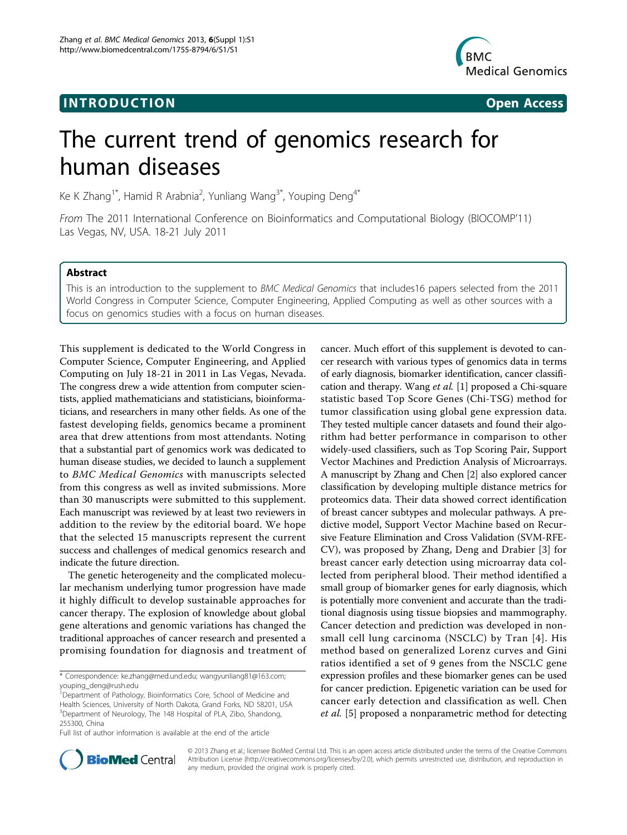# **INTRODUCTION CONSUMING THE CONSUMING TEAM Open Access**



# The current trend of genomics research for human diseases

Ke K Zhang<sup>1\*</sup>, Hamid R Arabnia<sup>2</sup>, Yunliang Wang<sup>3\*</sup>, Youping Deng<sup>4\*</sup>

From The 2011 International Conference on Bioinformatics and Computational Biology (BIOCOMP'11) Las Vegas, NV, USA. 18-21 July 2011

## Abstract

This is an introduction to the supplement to BMC Medical Genomics that includes16 papers selected from the 2011 World Congress in Computer Science, Computer Engineering, Applied Computing as well as other sources with a focus on genomics studies with a focus on human diseases.

This supplement is dedicated to the World Congress in Computer Science, Computer Engineering, and Applied Computing on July 18-21 in 2011 in Las Vegas, Nevada. The congress drew a wide attention from computer scientists, applied mathematicians and statisticians, bioinformaticians, and researchers in many other fields. As one of the fastest developing fields, genomics became a prominent area that drew attentions from most attendants. Noting that a substantial part of genomics work was dedicated to human disease studies, we decided to launch a supplement to BMC Medical Genomics with manuscripts selected from this congress as well as invited submissions. More than 30 manuscripts were submitted to this supplement. Each manuscript was reviewed by at least two reviewers in addition to the review by the editorial board. We hope that the selected 15 manuscripts represent the current success and challenges of medical genomics research and indicate the future direction.

The genetic heterogeneity and the complicated molecular mechanism underlying tumor progression have made it highly difficult to develop sustainable approaches for cancer therapy. The explosion of knowledge about global gene alterations and genomic variations has changed the traditional approaches of cancer research and presented a promising foundation for diagnosis and treatment of cancer. Much effort of this supplement is devoted to cancer research with various types of genomics data in terms of early diagnosis, biomarker identification, cancer classification and therapy. Wang et al. [[1\]](#page-1-0) proposed a Chi-square statistic based Top Score Genes (Chi-TSG) method for tumor classification using global gene expression data. They tested multiple cancer datasets and found their algorithm had better performance in comparison to other widely-used classifiers, such as Top Scoring Pair, Support Vector Machines and Prediction Analysis of Microarrays. A manuscript by Zhang and Chen [[2](#page-1-0)] also explored cancer classification by developing multiple distance metrics for proteomics data. Their data showed correct identification of breast cancer subtypes and molecular pathways. A predictive model, Support Vector Machine based on Recursive Feature Elimination and Cross Validation (SVM-RFE-CV), was proposed by Zhang, Deng and Drabier [[3](#page-1-0)] for breast cancer early detection using microarray data collected from peripheral blood. Their method identified a small group of biomarker genes for early diagnosis, which is potentially more convenient and accurate than the traditional diagnosis using tissue biopsies and mammography. Cancer detection and prediction was developed in nonsmall cell lung carcinoma (NSCLC) by Tran [[4](#page-1-0)]. His method based on generalized Lorenz curves and Gini ratios identified a set of 9 genes from the NSCLC gene expression profiles and these biomarker genes can be used for cancer prediction. Epigenetic variation can be used for cancer early detection and classification as well. Chen et al. [[5\]](#page-1-0) proposed a nonparametric method for detecting



© 2013 Zhang et al.; licensee BioMed Central Ltd. This is an open access article distributed under the terms of the Creative Commons Attribution License [\(http://creativecommons.org/licenses/by/2.0](http://creativecommons.org/licenses/by/2.0)), which permits unrestricted use, distribution, and reproduction in any medium, provided the original work is properly cited.

<sup>\*</sup> Correspondence: [ke.zhang@med.und.edu](mailto:ke.zhang@med.und.edu); [wangyunliang81@163.com](mailto:wangyunliang81@163.com); [youping\\_deng@rush.edu](mailto:youping_deng@rush.edu)

<sup>&</sup>lt;sup>1</sup> Department of Pathology, Bioinformatics Core, School of Medicine and Health Sciences, University of North Dakota, Grand Forks, ND 58201, USA <sup>3</sup>Department of Neurology, The 148 Hospital of PLA, Zibo, Shandong, 255300, China

Full list of author information is available at the end of the article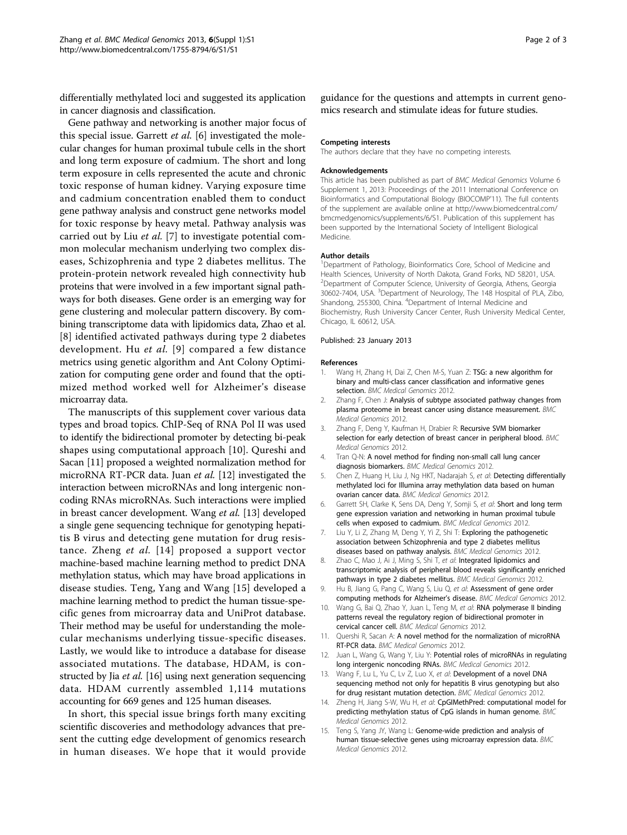<span id="page-1-0"></span>differentially methylated loci and suggested its application in cancer diagnosis and classification.

Gene pathway and networking is another major focus of this special issue. Garrett *et al.* [6] investigated the molecular changes for human proximal tubule cells in the short and long term exposure of cadmium. The short and long term exposure in cells represented the acute and chronic toxic response of human kidney. Varying exposure time and cadmium concentration enabled them to conduct gene pathway analysis and construct gene networks model for toxic response by heavy metal. Pathway analysis was carried out by Liu et al. [7] to investigate potential common molecular mechanism underlying two complex diseases, Schizophrenia and type 2 diabetes mellitus. The protein-protein network revealed high connectivity hub proteins that were involved in a few important signal pathways for both diseases. Gene order is an emerging way for gene clustering and molecular pattern discovery. By combining transcriptome data with lipidomics data, Zhao et al. [8] identified activated pathways during type 2 diabetes development. Hu et al. [9] compared a few distance metrics using genetic algorithm and Ant Colony Optimization for computing gene order and found that the optimized method worked well for Alzheimer's disease microarray data.

The manuscripts of this supplement cover various data types and broad topics. ChIP-Seq of RNA Pol II was used to identify the bidirectional promoter by detecting bi-peak shapes using computational approach [10]. Qureshi and Sacan [11] proposed a weighted normalization method for microRNA RT-PCR data. Juan et al. [12] investigated the interaction between microRNAs and long intergenic noncoding RNAs microRNAs. Such interactions were implied in breast cancer development. Wang et al. [13] developed a single gene sequencing technique for genotyping hepatitis B virus and detecting gene mutation for drug resistance. Zheng et al. [14] proposed a support vector machine-based machine learning method to predict DNA methylation status, which may have broad applications in disease studies. Teng, Yang and Wang [15] developed a machine learning method to predict the human tissue-specific genes from microarray data and UniProt database. Their method may be useful for understanding the molecular mechanisms underlying tissue-specific diseases. Lastly, we would like to introduce a database for disease associated mutations. The database, HDAM, is con-structed by Jia et al. [[16](#page-2-0)] using next generation sequencing data. HDAM currently assembled 1,114 mutations accounting for 669 genes and 125 human diseases.

In short, this special issue brings forth many exciting scientific discoveries and methodology advances that present the cutting edge development of genomics research in human diseases. We hope that it would provide guidance for the questions and attempts in current genomics research and stimulate ideas for future studies.

#### Competing interests

The authors declare that they have no competing interests.

#### Acknowledgements

This article has been published as part of BMC Medical Genomics Volume 6 Supplement 1, 2013: Proceedings of the 2011 International Conference on Bioinformatics and Computational Biology (BIOCOMP'11). The full contents of the supplement are available online at [http://www.biomedcentral.com/](http://www.biomedcentral.com/bmcmedgenomics/supplements/6/S1) [bmcmedgenomics/supplements/6/S1.](http://www.biomedcentral.com/bmcmedgenomics/supplements/6/S1) Publication of this supplement has been supported by the International Society of Intelligent Biological Medicine.

#### Author details

<sup>1</sup>Department of Pathology, Bioinformatics Core, School of Medicine and Health Sciences, University of North Dakota, Grand Forks, ND 58201, USA. <sup>2</sup>Department of Computer Science, University of Georgia, Athens, Georgia 30602-7404, USA. <sup>3</sup> Department of Neurology, The 148 Hospital of PLA, Zibo, Shandong, 255300, China. <sup>4</sup>Department of Internal Medicine and Biochemistry, Rush University Cancer Center, Rush University Medical Center, Chicago, IL 60612, USA.

#### Published: 23 January 2013

#### References

- Wang H, Zhang H, Dai Z, Chen M-S, Yuan Z: TSG: a new algorithm for binary and multi-class cancer classification and informative genes selection. BMC Medical Genomics 2012.
- 2. Zhang F, Chen J: Analysis of subtype associated pathway changes from plasma proteome in breast cancer using distance measurement. BMC Medical Genomics 2012.
- Zhang F, Deng Y, Kaufman H, Drabier R: Recursive SVM biomarker selection for early detection of breast cancer in peripheral blood. BMC Medical Genomics 2012.
- 4. Tran Q-N: A novel method for finding non-small call lung cancer diagnosis biomarkers. BMC Medical Genomics 2012.
- 5. Chen Z, Huang H, Liu J, Ng HKT, Nadarajah S, et al: Detecting differentially methylated loci for Illumina array methylation data based on human ovarian cancer data. BMC Medical Genomics 2012.
- 6. Garrett SH, Clarke K, Sens DA, Deng Y, Somji S, et al: Short and long term gene expression variation and networking in human proximal tubule cells when exposed to cadmium. BMC Medical Genomics 2012.
- 7. Liu Y, Li Z, Zhang M, Deng Y, Yi Z, Shi T: Exploring the pathogenetic association between Schizophrenia and type 2 diabetes mellitus diseases based on pathway analysis. BMC Medical Genomics 2012.
- 8. Zhao C, Mao J, Ai J, Ming S, Shi T, et al: Integrated lipidomics and transcriptomic analysis of peripheral blood reveals significantly enriched pathways in type 2 diabetes mellitus. BMC Medical Genomics 2012.
- 9. Hu B, Jiang G, Pang C, Wang S, Liu Q, et al: Assessment of gene order computing methods for Alzheimer's disease. BMC Medical Genomics 2012.
- 10. Wang G, Bai Q, Zhao Y, Juan L, Teng M, et al: RNA polymerase II binding patterns reveal the regulatory region of bidirectional promoter in cervical cancer cell. BMC Medical Genomics 2012.
- 11. Quershi R, Sacan A: A novel method for the normalization of microRNA RT-PCR data. BMC Medical Genomics 2012.
- 12. Juan L, Wang G, Wang Y, Liu Y: Potential roles of microRNAs in regulating long intergenic noncoding RNAs. BMC Medical Genomics 2012.
- 13. Wang F, Lu L, Yu C, Lv Z, Luo X, et al: Development of a novel DNA sequencing method not only for hepatitis B virus genotyping but also for drug resistant mutation detection. BMC Medical Genomics 2012.
- 14. Zheng H, Jiang S-W, Wu H, et al: CpGIMethPred: computational model for predicting methylation status of CpG islands in human genome. BMC Medical Genomics 2012.
- 15. Teng S, Yang JY, Wang L: Genome-wide prediction and analysis of human tissue-selective genes using microarray expression data. BMC Medical Genomics 2012.